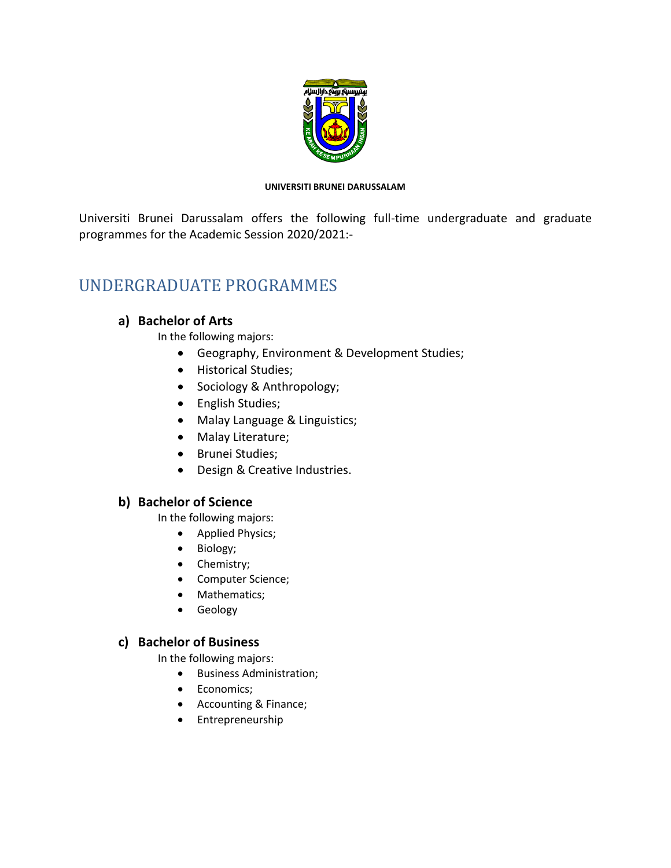

#### **UNIVERSITI BRUNEI DARUSSALAM**

Universiti Brunei Darussalam offers the following full-time undergraduate and graduate programmes for the Academic Session 2020/2021:-

# UNDERGRADUATE PROGRAMMES

# **a) Bachelor of Arts**

In the following majors:

- Geography, Environment & Development Studies;
- Historical Studies;
- Sociology & Anthropology;
- English Studies;
- Malay Language & Linguistics;
- Malay Literature;
- Brunei Studies;
- Design & Creative Industries.

## **b) Bachelor of Science**

In the following majors:

- Applied Physics;
- Biology;
- Chemistry;
- Computer Science;
- Mathematics;
- Geology

## **c) Bachelor of Business**

In the following majors:

- Business Administration;
- Economics;
- Accounting & Finance;
- Entrepreneurship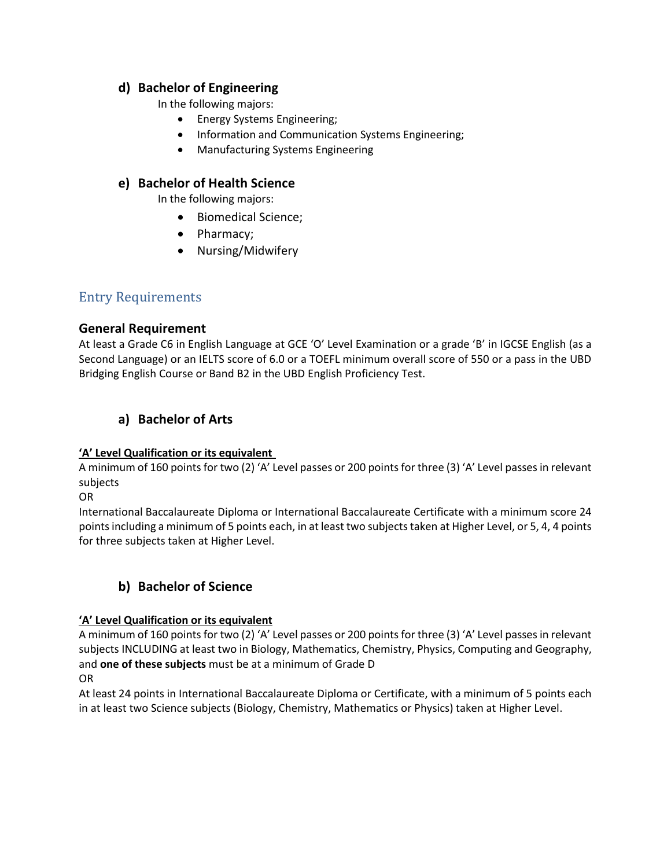### **d) Bachelor of Engineering**

In the following majors:

- Energy Systems Engineering;
- Information and Communication Systems Engineering;
- Manufacturing Systems Engineering

## **e) Bachelor of Health Science**

In the following majors:

- Biomedical Science;
- Pharmacy;
- Nursing/Midwifery

# Entry Requirements

## **General Requirement**

At least a Grade C6 in English Language at GCE 'O' Level Examination or a grade 'B' in IGCSE English (as a Second Language) or an IELTS score of 6.0 or a TOEFL minimum overall score of 550 or a pass in the UBD Bridging English Course or Band B2 in the UBD English Proficiency Test.

# **a) Bachelor of Arts**

### **'A' Level Qualification or its equivalent**

A minimum of 160 points for two (2) 'A' Level passes or 200 points for three (3) 'A' Level passes in relevant subjects

OR

International Baccalaureate Diploma or International Baccalaureate Certificate with a minimum score 24 points including a minimum of 5 points each, in at least two subjects taken at Higher Level, or 5, 4, 4 points for three subjects taken at Higher Level.

# **b) Bachelor of Science**

### **'A' Level Qualification or its equivalent**

A minimum of 160 points for two (2) 'A' Level passes or 200 points for three (3) 'A' Level passes in relevant subjects INCLUDING at least two in Biology, Mathematics, Chemistry, Physics, Computing and Geography, and **one of these subjects** must be at a minimum of Grade D

OR

At least 24 points in International Baccalaureate Diploma or Certificate, with a minimum of 5 points each in at least two Science subjects (Biology, Chemistry, Mathematics or Physics) taken at Higher Level.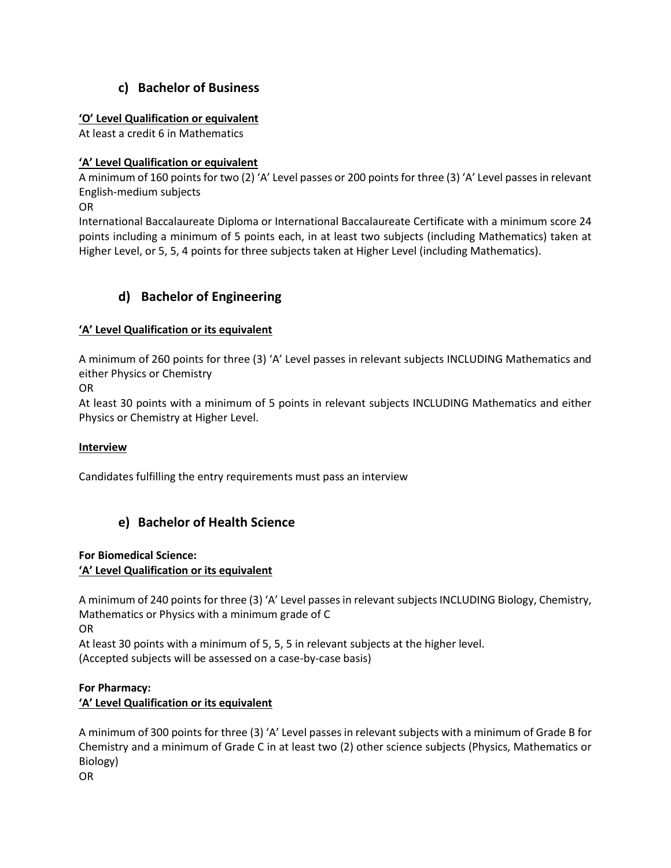# **c) Bachelor of Business**

### **'O' Level Qualification or equivalent**

At least a credit 6 in Mathematics

### **'A' Level Qualification or equivalent**

A minimum of 160 points for two (2) 'A' Level passes or 200 points for three (3) 'A' Level passes in relevant English-medium subjects

OR

International Baccalaureate Diploma or International Baccalaureate Certificate with a minimum score 24 points including a minimum of 5 points each, in at least two subjects (including Mathematics) taken at Higher Level, or 5, 5, 4 points for three subjects taken at Higher Level (including Mathematics).

# **d) Bachelor of Engineering**

### **'A' Level Qualification or its equivalent**

A minimum of 260 points for three (3) 'A' Level passes in relevant subjects INCLUDING Mathematics and either Physics or Chemistry

OR

At least 30 points with a minimum of 5 points in relevant subjects INCLUDING Mathematics and either Physics or Chemistry at Higher Level.

### **Interview**

Candidates fulfilling the entry requirements must pass an interview

## **e) Bachelor of Health Science**

### **For Biomedical Science:**

### **'A' Level Qualification or its equivalent**

A minimum of 240 points for three (3) 'A' Level passes in relevant subjects INCLUDING Biology, Chemistry, Mathematics or Physics with a minimum grade of C

OR

At least 30 points with a minimum of 5, 5, 5 in relevant subjects at the higher level.

(Accepted subjects will be assessed on a case-by-case basis)

### **For Pharmacy: 'A' Level Qualification or its equivalent**

A minimum of 300 points for three (3) 'A' Level passes in relevant subjects with a minimum of Grade B for Chemistry and a minimum of Grade C in at least two (2) other science subjects (Physics, Mathematics or Biology)

OR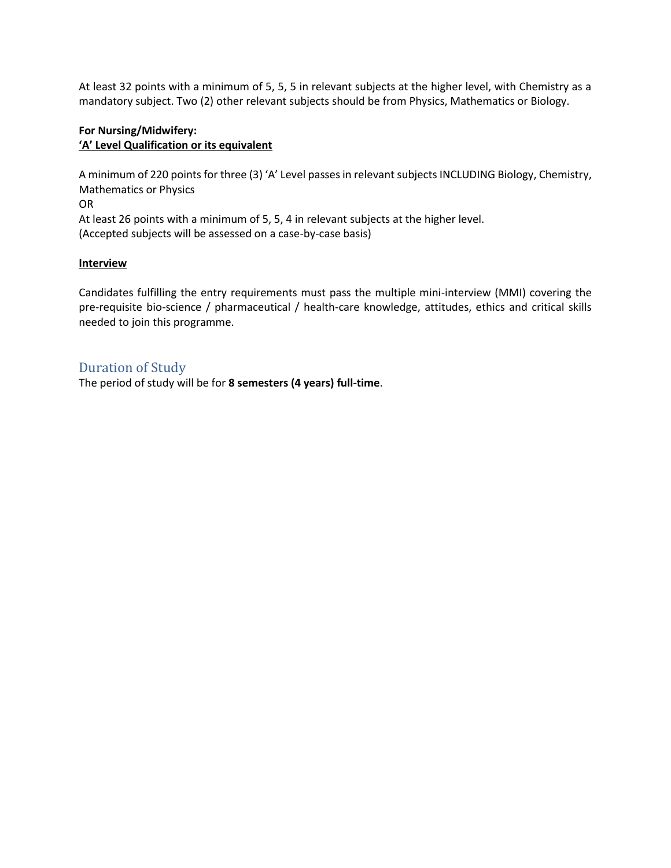At least 32 points with a minimum of 5, 5, 5 in relevant subjects at the higher level, with Chemistry as a mandatory subject. Two (2) other relevant subjects should be from Physics, Mathematics or Biology.

### **For Nursing/Midwifery: 'A' Level Qualification or its equivalent**

A minimum of 220 points for three (3) 'A' Level passes in relevant subjects INCLUDING Biology, Chemistry, Mathematics or Physics OR At least 26 points with a minimum of 5, 5, 4 in relevant subjects at the higher level. (Accepted subjects will be assessed on a case-by-case basis)

### **Interview**

Candidates fulfilling the entry requirements must pass the multiple mini-interview (MMI) covering the pre-requisite bio-science / pharmaceutical / health-care knowledge, attitudes, ethics and critical skills needed to join this programme.

## Duration of Study

The period of study will be for **8 semesters (4 years) full-time**.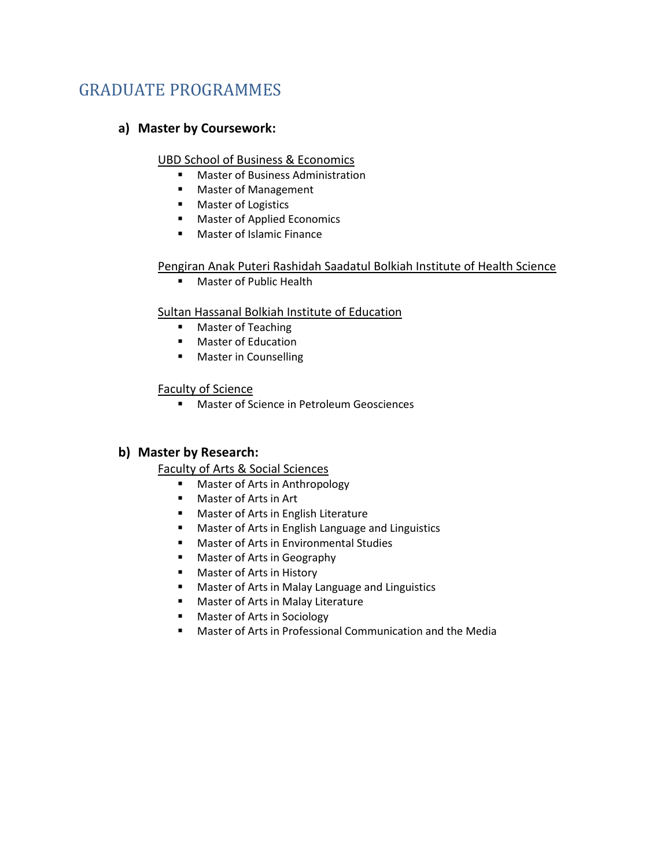# GRADUATE PROGRAMMES

# **a) Master by Coursework:**

### UBD School of Business & Economics

- Master of Business Administration
- Master of Management
- Master of Logistics
- Master of Applied Economics
- Master of Islamic Finance

### Pengiran Anak Puteri Rashidah Saadatul Bolkiah Institute of Health Science

■ Master of Public Health

### Sultan Hassanal Bolkiah Institute of Education

- Master of Teaching
- Master of Education
- Master in Counselling

### Faculty of Science

■ Master of Science in Petroleum Geosciences

## **b) Master by Research:**

## Faculty of Arts & Social Sciences

- Master of Arts in Anthropology
- Master of Arts in Art
- Master of Arts in English Literature
- Master of Arts in English Language and Linguistics
- Master of Arts in Environmental Studies
- Master of Arts in Geography
- Master of Arts in History
- Master of Arts in Malay Language and Linguistics
- Master of Arts in Malay Literature
- Master of Arts in Sociology
- Master of Arts in Professional Communication and the Media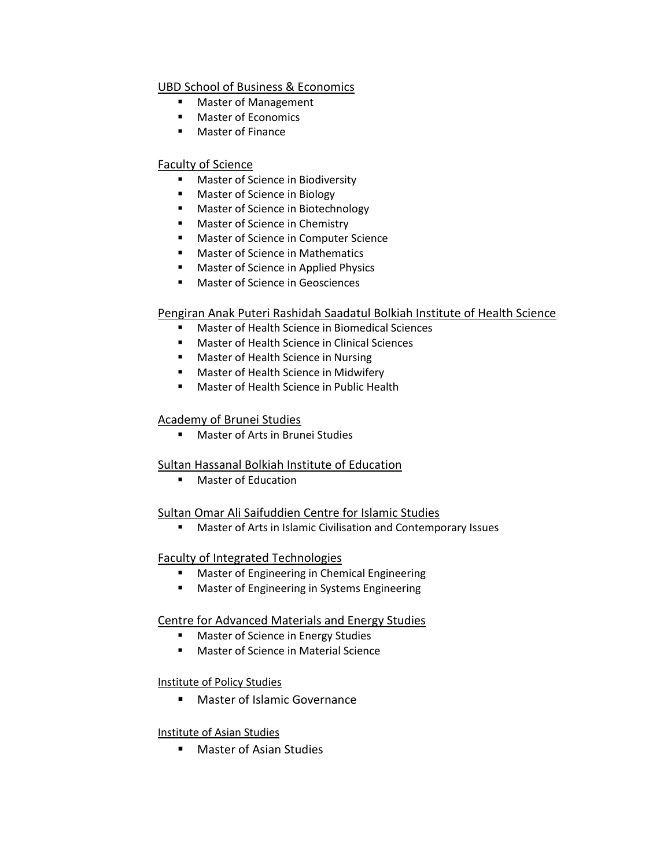### UBD School of Business & Economics

- **Master of Management**
- Master of Economics
- Master of Finance

### Faculty of Science

- Master of Science in Biodiversity
- Master of Science in Biology
- Master of Science in Biotechnology
- Master of Science in Chemistry
- Master of Science in Computer Science
- Master of Science in Mathematics
- Master of Science in Applied Physics
- Master of Science in Geosciences

### Pengiran Anak Puteri Rashidah Saadatul Bolkiah Institute of Health Science

- Master of Health Science in Biomedical Sciences
- Master of Health Science in Clinical Sciences
- Master of Health Science in Nursing
- Master of Health Science in Midwifery
- Master of Health Science in Public Health

### Academy of Brunei Studies

■ Master of Arts in Brunei Studies

### Sultan Hassanal Bolkiah Institute of Education

■ Master of Education

### Sultan Omar Ali Saifuddien Centre for Islamic Studies

■ Master of Arts in Islamic Civilisation and Contemporary Issues

### Faculty of Integrated Technologies

- Master of Engineering in Chemical Engineering
- Master of Engineering in Systems Engineering

### Centre for Advanced Materials and Energy Studies

- Master of Science in Energy Studies
- Master of Science in Material Science

### Institute of Policy Studies

■ Master of Islamic Governance

### Institute of Asian Studies

■ Master of Asian Studies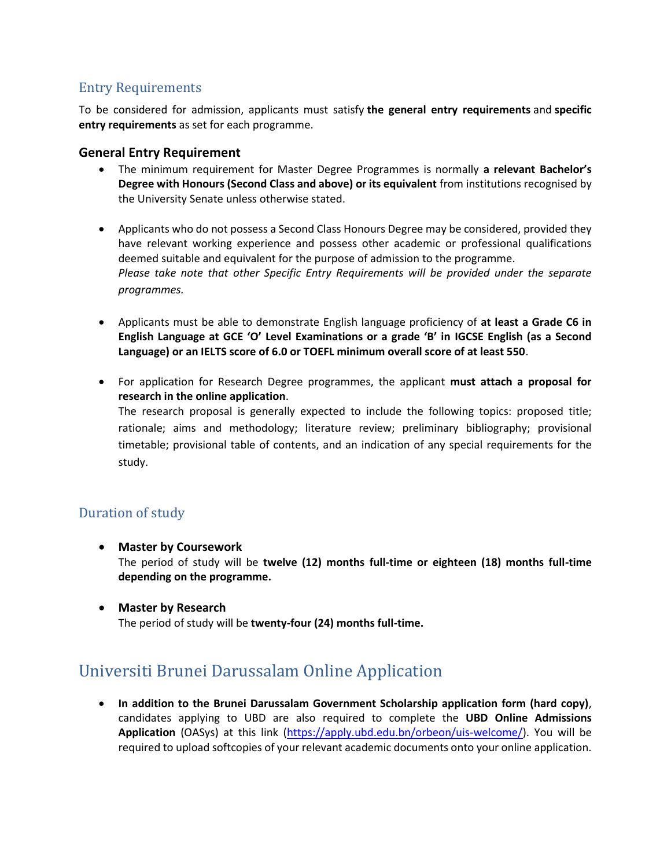# Entry Requirements

To be considered for admission, applicants must satisfy **the general entry requirements** and **specific entry requirements** as set for each programme.

### **General Entry Requirement**

- The minimum requirement for Master Degree Programmes is normally **a relevant Bachelor's Degree with Honours (Second Class and above) or its equivalent** from institutions recognised by the University Senate unless otherwise stated.
- Applicants who do not possess a Second Class Honours Degree may be considered, provided they have relevant working experience and possess other academic or professional qualifications deemed suitable and equivalent for the purpose of admission to the programme. *Please take note that other Specific Entry Requirements will be provided under the separate programmes.*
- Applicants must be able to demonstrate English language proficiency of **at least a Grade C6 in English Language at GCE 'O' Level Examinations or a grade 'B' in IGCSE English (as a Second Language) or an IELTS score of 6.0 or TOEFL minimum overall score of at least 550**.
- For application for Research Degree programmes, the applicant **must attach a proposal for research in the online application**. The research proposal is generally expected to include the following topics: proposed title; rationale; aims and methodology; literature review; preliminary bibliography; provisional timetable; provisional table of contents, and an indication of any special requirements for the study.

## Duration of study

• **Master by Coursework**

The period of study will be **twelve (12) months full-time or eighteen (18) months full-time depending on the programme.**

• **Master by Research** The period of study will be **twenty-four (24) months full-time.**

# Universiti Brunei Darussalam Online Application

• **In addition to the Brunei Darussalam Government Scholarship application form (hard copy)**, candidates applying to UBD are also required to complete the **UBD Online Admissions Application** (OASys) at this link [\(https://apply.ubd.edu.bn/orbeon/uis-welcome/\)](https://apply.ubd.edu.bn/orbeon/uis-welcome/). You will be required to upload softcopies of your relevant academic documents onto your online application.